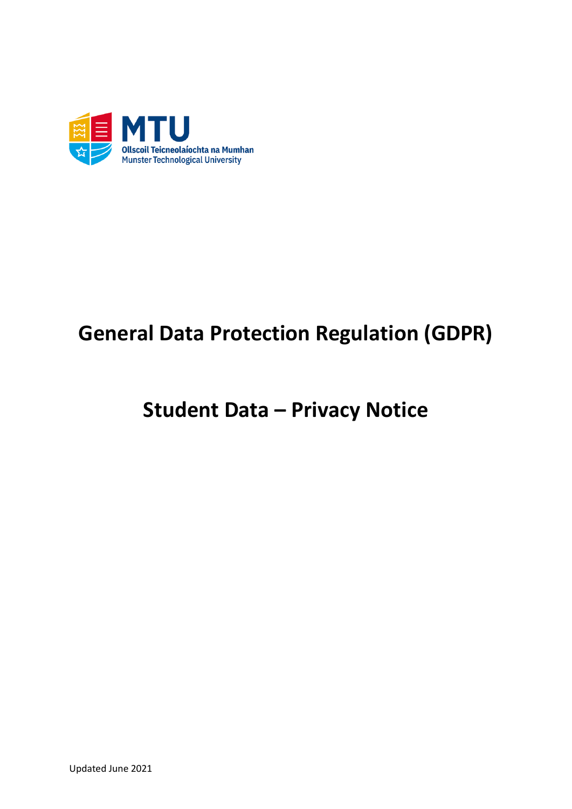

# **General Data Protection Regulation (GDPR)**

### **Student Data – Privacy Notice**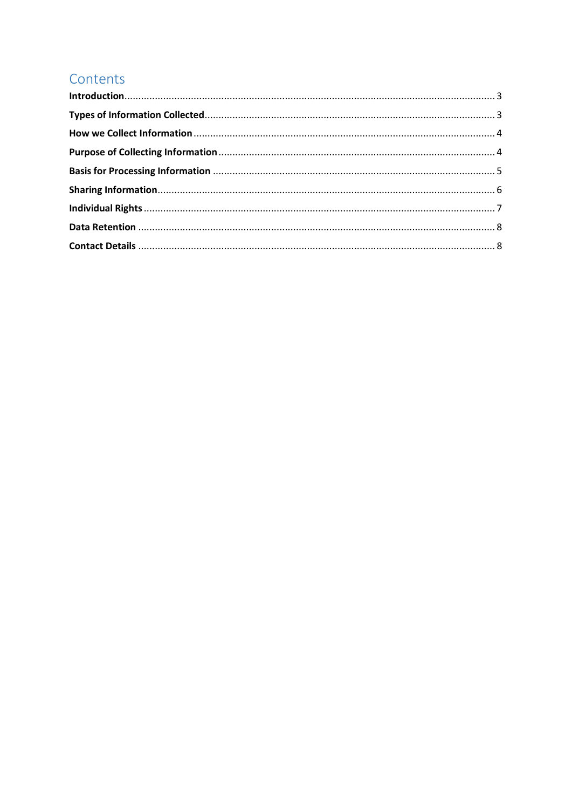#### Contents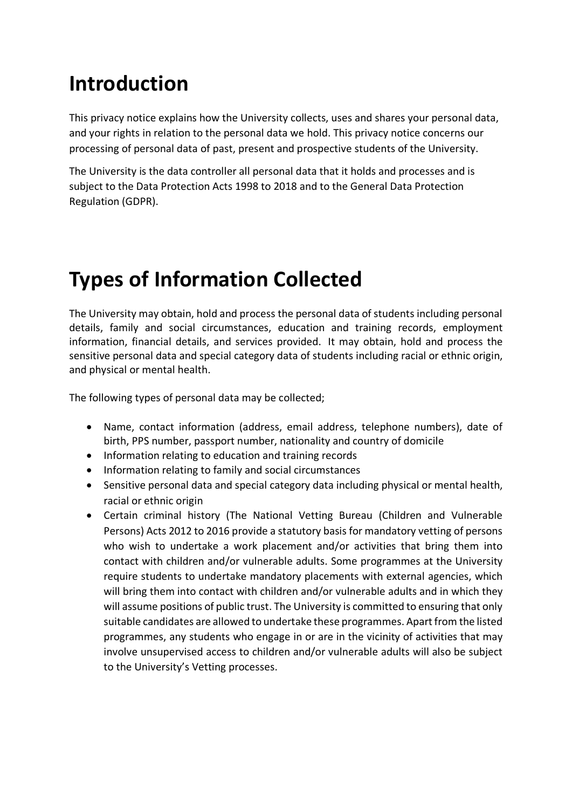## <span id="page-2-0"></span>**Introduction**

This privacy notice explains how the University collects, uses and shares your personal data, and your rights in relation to the personal data we hold. This privacy notice concerns our processing of personal data of past, present and prospective students of the University.

The University is the data controller all personal data that it holds and processes and is subject to the Data Protection Acts 1998 to 2018 and to the General Data Protection Regulation (GDPR).

## <span id="page-2-1"></span>**Types of Information Collected**

The University may obtain, hold and process the personal data of students including personal details, family and social circumstances, education and training records, employment information, financial details, and services provided. It may obtain, hold and process the sensitive personal data and special category data of students including racial or ethnic origin, and physical or mental health.

The following types of personal data may be collected;

- Name, contact information (address, email address, telephone numbers), date of birth, PPS number, passport number, nationality and country of domicile
- Information relating to education and training records
- Information relating to family and social circumstances
- Sensitive personal data and special category data including physical or mental health, racial or ethnic origin
- Certain criminal history (The National Vetting Bureau (Children and Vulnerable Persons) Acts 2012 to 2016 provide a statutory basis for mandatory vetting of persons who wish to undertake a work placement and/or activities that bring them into contact with children and/or vulnerable adults. Some programmes at the University require students to undertake mandatory placements with external agencies, which will bring them into contact with children and/or vulnerable adults and in which they will assume positions of public trust. The University is committed to ensuring that only suitable candidates are allowed to undertake these programmes. Apart from the listed programmes, any students who engage in or are in the vicinity of activities that may involve unsupervised access to children and/or vulnerable adults will also be subject to the University's Vetting processes.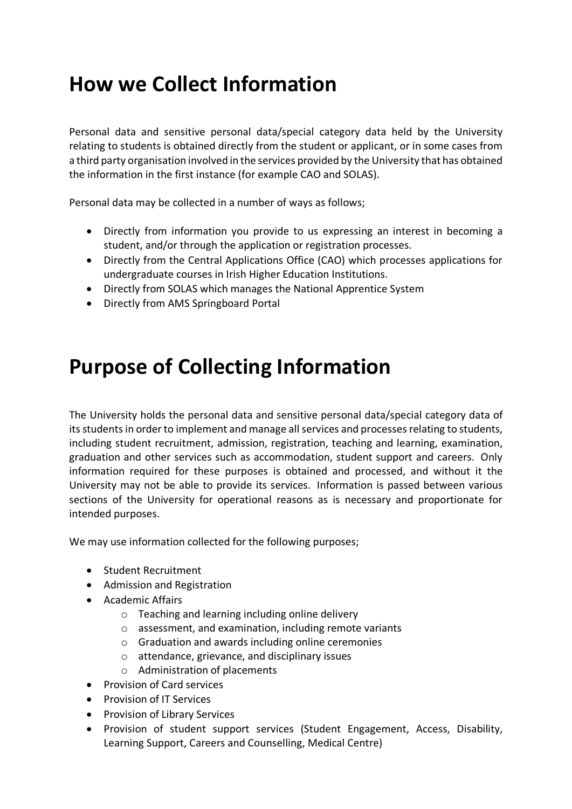### <span id="page-3-0"></span>**How we Collect Information**

Personal data and sensitive personal data/special category data held by the University relating to students is obtained directly from the student or applicant, or in some cases from a third party organisation involved in the services provided by the University that has obtained the information in the first instance (for example CAO and SOLAS).

Personal data may be collected in a number of ways as follows;

- Directly from information you provide to us expressing an interest in becoming a student, and/or through the application or registration processes.
- Directly from the Central Applications Office (CAO) which processes applications for undergraduate courses in Irish Higher Education Institutions.
- Directly from SOLAS which manages the National Apprentice System
- Directly from AMS Springboard Portal

#### <span id="page-3-1"></span>**Purpose of Collecting Information**

The University holds the personal data and sensitive personal data/special category data of its students in order to implement and manage all services and processes relating to students, including student recruitment, admission, registration, teaching and learning, examination, graduation and other services such as accommodation, student support and careers. Only information required for these purposes is obtained and processed, and without it the University may not be able to provide its services. Information is passed between various sections of the University for operational reasons as is necessary and proportionate for intended purposes.

We may use information collected for the following purposes;

- Student Recruitment
- Admission and Registration
- Academic Affairs
	- o Teaching and learning including online delivery
	- o assessment, and examination, including remote variants
	- o Graduation and awards including online ceremonies
	- o attendance, grievance, and disciplinary issues
	- o Administration of placements
- Provision of Card services
- Provision of IT Services
- Provision of Library Services
- Provision of student support services (Student Engagement, Access, Disability, Learning Support, Careers and Counselling, Medical Centre)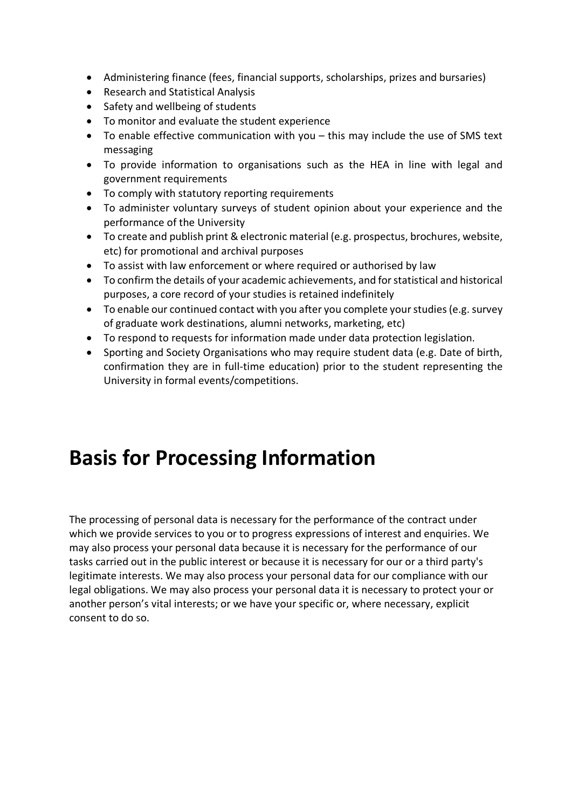- Administering finance (fees, financial supports, scholarships, prizes and bursaries)
- Research and Statistical Analysis
- Safety and wellbeing of students
- To monitor and evaluate the student experience
- To enable effective communication with you this may include the use of SMS text messaging
- To provide information to organisations such as the HEA in line with legal and government requirements
- To comply with statutory reporting requirements
- To administer voluntary surveys of student opinion about your experience and the performance of the University
- To create and publish print & electronic material (e.g. prospectus, brochures, website, etc) for promotional and archival purposes
- To assist with law enforcement or where required or authorised by law
- To confirm the details of your academic achievements, and for statistical and historical purposes, a core record of your studies is retained indefinitely
- To enable our continued contact with you after you complete your studies (e.g. survey of graduate work destinations, alumni networks, marketing, etc)
- To respond to requests for information made under data protection legislation.
- Sporting and Society Organisations who may require student data (e.g. Date of birth, confirmation they are in full-time education) prior to the student representing the University in formal events/competitions.

#### <span id="page-4-0"></span>**Basis for Processing Information**

The processing of personal data is necessary for the performance of the contract under which we provide services to you or to progress expressions of interest and enquiries. We may also process your personal data because it is necessary for the performance of our tasks carried out in the public interest or because it is necessary for our or a third party's legitimate interests. We may also process your personal data for our compliance with our legal obligations. We may also process your personal data it is necessary to protect your or another person's vital interests; or we have your specific or, where necessary, explicit consent to do so.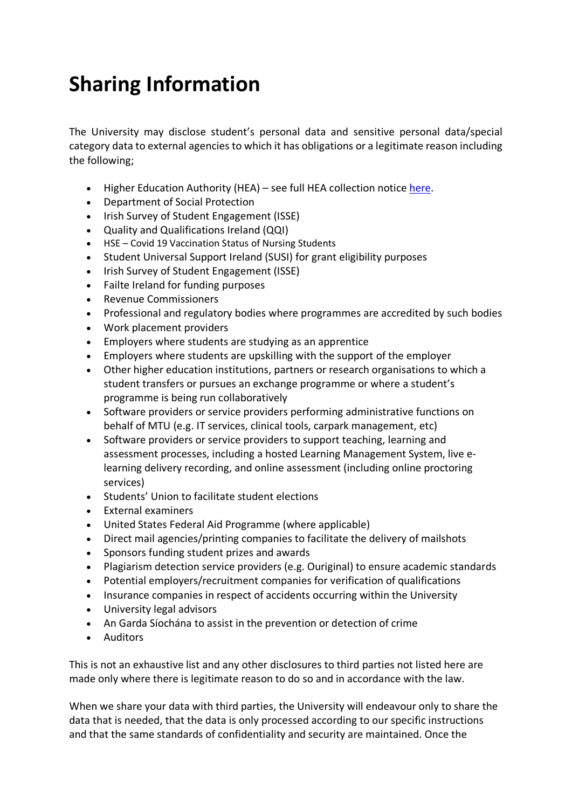## <span id="page-5-0"></span>**Sharing Information**

The University may disclose student's personal data and sensitive personal data/special category data to external agencies to which it has obligations or a legitimate reason including the following;

- Higher Education Authority (HEA) see full HEA collection notice [here.](https://www.mtu.ie/contentFiles/policies/data-protection/2021_2022_HEA_Data_Collection_Notice_FINAL_July_2021.pdf)
- Department of Social Protection
- Irish Survey of Student Engagement (ISSE)
- Quality and Qualifications Ireland (QQI)
- HSE Covid 19 Vaccination Status of Nursing Students
- Student Universal Support Ireland (SUSI) for grant eligibility purposes
- Irish Survey of Student Engagement (ISSE)
- Failte Ireland for funding purposes
- Revenue Commissioners
- Professional and regulatory bodies where programmes are accredited by such bodies
- Work placement providers
- Employers where students are studying as an apprentice
- Employers where students are upskilling with the support of the employer
- Other higher education institutions, partners or research organisations to which a student transfers or pursues an exchange programme or where a student's programme is being run collaboratively
- Software providers or service providers performing administrative functions on behalf of MTU (e.g. IT services, clinical tools, carpark management, etc)
- Software providers or service providers to support teaching, learning and assessment processes, including a hosted Learning Management System, live elearning delivery recording, and online assessment (including online proctoring services)
- Students' Union to facilitate student elections
- External examiners
- United States Federal Aid Programme (where applicable)
- Direct mail agencies/printing companies to facilitate the delivery of mailshots
- Sponsors funding student prizes and awards
- Plagiarism detection service providers (e.g. Ouriginal) to ensure academic standards
- Potential employers/recruitment companies for verification of qualifications
- Insurance companies in respect of accidents occurring within the University
- University legal advisors
- An Garda Síochána to assist in the prevention or detection of crime
- Auditors

This is not an exhaustive list and any other disclosures to third parties not listed here are made only where there is legitimate reason to do so and in accordance with the law.

When we share your data with third parties, the University will endeavour only to share the data that is needed, that the data is only processed according to our specific instructions and that the same standards of confidentiality and security are maintained. Once the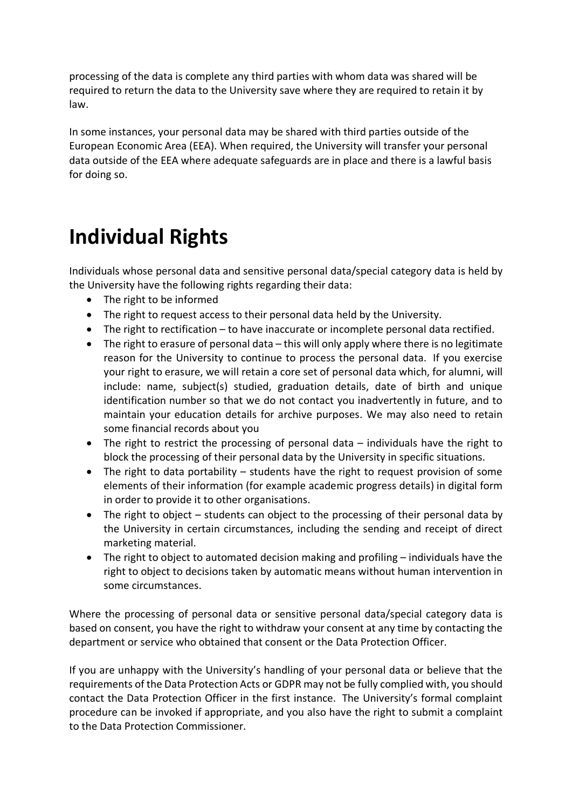processing of the data is complete any third parties with whom data was shared will be required to return the data to the University save where they are required to retain it by law.

In some instances, your personal data may be shared with third parties outside of the European Economic Area (EEA). When required, the University will transfer your personal data outside of the EEA where adequate safeguards are in place and there is a lawful basis for doing so.

## <span id="page-6-0"></span>**Individual Rights**

Individuals whose personal data and sensitive personal data/special category data is held by the University have the following rights regarding their data:

- The right to be informed
- The right to request access to their personal data held by the University.
- The right to rectification to have inaccurate or incomplete personal data rectified.
- The right to erasure of personal data this will only apply where there is no legitimate reason for the University to continue to process the personal data. If you exercise your right to erasure, we will retain a core set of personal data which, for alumni, will include: name, subject(s) studied, graduation details, date of birth and unique identification number so that we do not contact you inadvertently in future, and to maintain your education details for archive purposes. We may also need to retain some financial records about you
- The right to restrict the processing of personal data individuals have the right to block the processing of their personal data by the University in specific situations.
- The right to data portability students have the right to request provision of some elements of their information (for example academic progress details) in digital form in order to provide it to other organisations.
- The right to object students can object to the processing of their personal data by the University in certain circumstances, including the sending and receipt of direct marketing material.
- The right to object to automated decision making and profiling individuals have the right to object to decisions taken by automatic means without human intervention in some circumstances.

Where the processing of personal data or sensitive personal data/special category data is based on consent, you have the right to withdraw your consent at any time by contacting the department or service who obtained that consent or the Data Protection Officer.

If you are unhappy with the University's handling of your personal data or believe that the requirements of the Data Protection Acts or GDPR may not be fully complied with, you should contact the Data Protection Officer in the first instance. The University's formal complaint procedure can be invoked if appropriate, and you also have the right to submit a complaint to the Data Protection Commissioner.